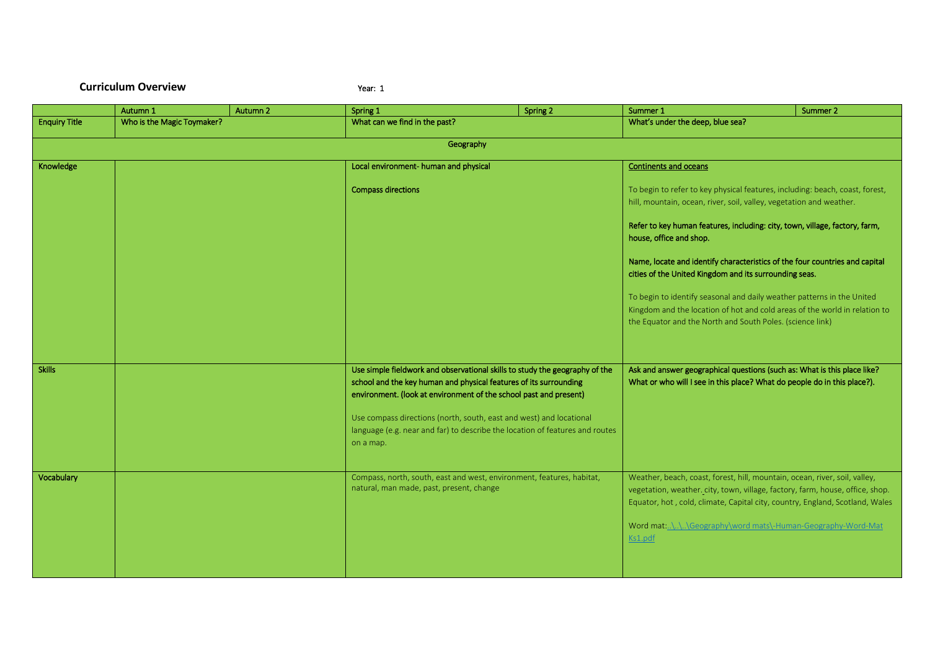## **Curriculum Overview** The Contract of the Vear: 1

|                      | Autumn 1                   | Autumn 2 | Spring 1                                                                                                                                                                                                                                                                                                                                                                                  | Spring 2 | Summer 1                                                                                                                                                                                                                                                                                                            | Summer 2                                                                                                                                                                                                                                                                                                                                                                                                                                                                                                                                                                                                                    |  |  |
|----------------------|----------------------------|----------|-------------------------------------------------------------------------------------------------------------------------------------------------------------------------------------------------------------------------------------------------------------------------------------------------------------------------------------------------------------------------------------------|----------|---------------------------------------------------------------------------------------------------------------------------------------------------------------------------------------------------------------------------------------------------------------------------------------------------------------------|-----------------------------------------------------------------------------------------------------------------------------------------------------------------------------------------------------------------------------------------------------------------------------------------------------------------------------------------------------------------------------------------------------------------------------------------------------------------------------------------------------------------------------------------------------------------------------------------------------------------------------|--|--|
| <b>Enquiry Title</b> | Who is the Magic Toymaker? |          | What can we find in the past?                                                                                                                                                                                                                                                                                                                                                             |          | What's under the deep, blue sea?                                                                                                                                                                                                                                                                                    |                                                                                                                                                                                                                                                                                                                                                                                                                                                                                                                                                                                                                             |  |  |
|                      |                            |          | Geography                                                                                                                                                                                                                                                                                                                                                                                 |          |                                                                                                                                                                                                                                                                                                                     |                                                                                                                                                                                                                                                                                                                                                                                                                                                                                                                                                                                                                             |  |  |
|                      |                            |          |                                                                                                                                                                                                                                                                                                                                                                                           |          |                                                                                                                                                                                                                                                                                                                     |                                                                                                                                                                                                                                                                                                                                                                                                                                                                                                                                                                                                                             |  |  |
| Knowledge            |                            |          | Local environment- human and physical                                                                                                                                                                                                                                                                                                                                                     |          | <b>Continents and oceans</b>                                                                                                                                                                                                                                                                                        |                                                                                                                                                                                                                                                                                                                                                                                                                                                                                                                                                                                                                             |  |  |
|                      |                            |          | <b>Compass directions</b>                                                                                                                                                                                                                                                                                                                                                                 |          |                                                                                                                                                                                                                                                                                                                     | To begin to refer to key physical features, including: beach, coast, forest,<br>hill, mountain, ocean, river, soil, valley, vegetation and weather.<br>Refer to key human features, including: city, town, village, factory, farm,<br>house, office and shop.<br>Name, locate and identify characteristics of the four countries and capital<br>cities of the United Kingdom and its surrounding seas.<br>To begin to identify seasonal and daily weather patterns in the United<br>Kingdom and the location of hot and cold areas of the world in relation to<br>the Equator and the North and South Poles. (science link) |  |  |
| <b>Skills</b>        |                            |          | Use simple fieldwork and observational skills to study the geography of the<br>school and the key human and physical features of its surrounding<br>environment. (look at environment of the school past and present)<br>Use compass directions (north, south, east and west) and locational<br>language (e.g. near and far) to describe the location of features and routes<br>on a map. |          | Ask and answer geographical questions (such as: What is this place like?<br>What or who will I see in this place? What do people do in this place?).                                                                                                                                                                |                                                                                                                                                                                                                                                                                                                                                                                                                                                                                                                                                                                                                             |  |  |
| Vocabulary           |                            |          | Compass, north, south, east and west, environment, features, habitat,<br>natural, man made, past, present, change                                                                                                                                                                                                                                                                         |          | Weather, beach, coast, forest, hill, mountain, ocean, river, soil, valley,<br>vegetation, weather. city, town, village, factory, farm, house, office, shop.<br>Equator, hot, cold, climate, Capital city, country, England, Scotland, Wales<br>Word mat:\\\Geography\word mats\-Human-Geography-Word-Mat<br>Ks1.pdf |                                                                                                                                                                                                                                                                                                                                                                                                                                                                                                                                                                                                                             |  |  |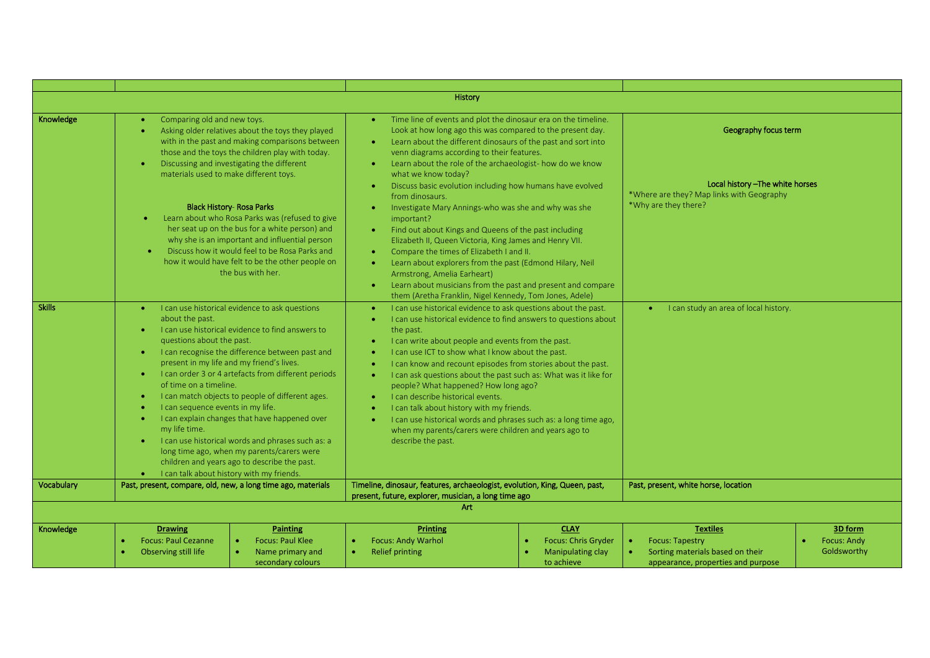|               |                                                                                                                                                                                                                                                                                             |                                                                                                                                                                                                                                                                                                                                                                                                                                                                                                                                                                                                                                                                                                                                                                                                                                  | History                                                                                                                                                                                                                                                                                                                                                                                                                                                                                                                                                                                                                                                                                                                                                                            |                                                                                                                               |                                                                                                                     |                                              |
|---------------|---------------------------------------------------------------------------------------------------------------------------------------------------------------------------------------------------------------------------------------------------------------------------------------------|----------------------------------------------------------------------------------------------------------------------------------------------------------------------------------------------------------------------------------------------------------------------------------------------------------------------------------------------------------------------------------------------------------------------------------------------------------------------------------------------------------------------------------------------------------------------------------------------------------------------------------------------------------------------------------------------------------------------------------------------------------------------------------------------------------------------------------|------------------------------------------------------------------------------------------------------------------------------------------------------------------------------------------------------------------------------------------------------------------------------------------------------------------------------------------------------------------------------------------------------------------------------------------------------------------------------------------------------------------------------------------------------------------------------------------------------------------------------------------------------------------------------------------------------------------------------------------------------------------------------------|-------------------------------------------------------------------------------------------------------------------------------|---------------------------------------------------------------------------------------------------------------------|----------------------------------------------|
| Knowledge     | Comparing old and new toys.<br>$\bullet$<br>$\bullet$                                                                                                                                                                                                                                       | Time line of events and plot the dinosaur era on the timeline.<br>$\bullet$<br>Look at how long ago this was compared to the present day.<br>Asking older relatives about the toys they played<br>Learn about the different dinosaurs of the past and sort into<br>with in the past and making comparisons between<br>$\bullet$<br>those and the toys the children play with today.<br>venn diagrams according to their features.<br>Discussing and investigating the different<br>Learn about the role of the archaeologist- how do we know<br>$\bullet$<br>materials used to make different toys.<br>what we know today?<br>Discuss basic evolution including how humans have evolved<br>$\bullet$<br>from dinosaurs.<br><b>Black History- Rosa Parks</b><br>Investigate Mary Annings-who was she and why was she<br>$\bullet$ |                                                                                                                                                                                                                                                                                                                                                                                                                                                                                                                                                                                                                                                                                                                                                                                    | Geography focus term<br>Local history - The white horses<br>*Where are they? Map links with Geography<br>*Why are they there? |                                                                                                                     |                                              |
|               | Learn about who Rosa Parks was (refused to give<br>$\bullet$<br>her seat up on the bus for a white person) and<br>why she is an important and influential person<br>Discuss how it would feel to be Rosa Parks and<br>how it would have felt to be the other people on<br>the bus with her. |                                                                                                                                                                                                                                                                                                                                                                                                                                                                                                                                                                                                                                                                                                                                                                                                                                  | important?<br>Find out about Kings and Queens of the past including<br>$\bullet$<br>Elizabeth II, Queen Victoria, King James and Henry VII.<br>Compare the times of Elizabeth I and II.<br>$\bullet$<br>Learn about explorers from the past (Edmond Hilary, Neil<br>$\bullet$<br>Armstrong, Amelia Earheart)<br>Learn about musicians from the past and present and compare<br>$\bullet$                                                                                                                                                                                                                                                                                                                                                                                           |                                                                                                                               |                                                                                                                     |                                              |
| <b>Skills</b> | about the past.<br>$\bullet$<br>questions about the past.<br>of time on a timeline.<br>$\bullet$<br>I can sequence events in my life.<br>$\bullet$<br>my life time.<br>I can talk about history with my friends.                                                                            | I can use historical evidence to ask questions<br>I can use historical evidence to find answers to<br>I can recognise the difference between past and<br>present in my life and my friend's lives.<br>I can order 3 or 4 artefacts from different periods<br>I can match objects to people of different ages.<br>I can explain changes that have happened over<br>I can use historical words and phrases such as: a<br>long time ago, when my parents/carers were<br>children and years ago to describe the past.                                                                                                                                                                                                                                                                                                                | them (Aretha Franklin, Nigel Kennedy, Tom Jones, Adele)<br>I can use historical evidence to ask questions about the past.<br>I can use historical evidence to find answers to questions about<br>$\bullet$<br>the past.<br>I can write about people and events from the past.<br>I can use ICT to show what I know about the past.<br>٠<br>I can know and recount episodes from stories about the past.<br>I can ask questions about the past such as: What was it like for<br>$\bullet$<br>people? What happened? How long ago?<br>I can describe historical events.<br>$\bullet$<br>I can talk about history with my friends.<br>I can use historical words and phrases such as: a long time ago,<br>when my parents/carers were children and years ago to<br>describe the past. |                                                                                                                               | I can study an area of local history.                                                                               |                                              |
| Vocabulary    | Past, present, compare, old, new, a long time ago, materials                                                                                                                                                                                                                                |                                                                                                                                                                                                                                                                                                                                                                                                                                                                                                                                                                                                                                                                                                                                                                                                                                  | Timeline, dinosaur, features, archaeologist, evolution, King, Queen, past,<br>present, future, explorer, musician, a long time ago                                                                                                                                                                                                                                                                                                                                                                                                                                                                                                                                                                                                                                                 |                                                                                                                               | Past, present, white horse, location                                                                                |                                              |
|               |                                                                                                                                                                                                                                                                                             |                                                                                                                                                                                                                                                                                                                                                                                                                                                                                                                                                                                                                                                                                                                                                                                                                                  | Art                                                                                                                                                                                                                                                                                                                                                                                                                                                                                                                                                                                                                                                                                                                                                                                |                                                                                                                               |                                                                                                                     |                                              |
| Knowledge     | <b>Drawing</b><br><b>Focus: Paul Cezanne</b><br>$\bullet$<br>Observing still life<br>$\bullet$                                                                                                                                                                                              | <b>Painting</b><br><b>Focus: Paul Klee</b><br>Name primary and<br>secondary colours                                                                                                                                                                                                                                                                                                                                                                                                                                                                                                                                                                                                                                                                                                                                              | <b>Printing</b><br><b>Focus: Andy Warhol</b><br>$\bullet$<br><b>Relief printing</b><br>$\bullet$                                                                                                                                                                                                                                                                                                                                                                                                                                                                                                                                                                                                                                                                                   | <b>CLAY</b><br><b>Focus: Chris Gryder</b><br><b>Manipulating clay</b><br>to achieve                                           | <b>Textiles</b><br><b>Focus: Tapestry</b><br>Sorting materials based on their<br>appearance, properties and purpose | 3D form<br><b>Focus: Andy</b><br>Goldsworthy |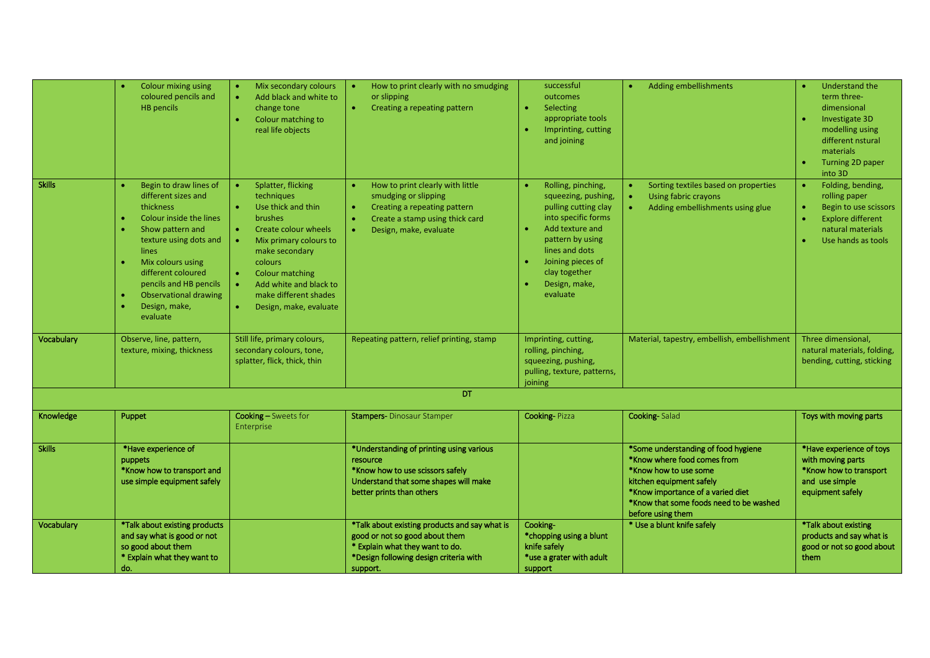|               | Colour mixing using<br>coloured pencils and<br><b>HB</b> pencils                                                                                                                                                                                                                      | Mix secondary colours<br>$\bullet$<br>Add black and white to<br>change tone<br>Colour matching to<br>real life objects                                                                                                                                                      | How to print clearly with no smudging<br>or slipping<br>Creating a repeating pattern<br>$\bullet$                                                                        | successful<br>outcomes<br>$\bullet$<br>Selecting<br>appropriate tools<br>Imprinting, cutting<br>$\bullet$<br>and joining                                                                                                                                    | <b>Adding embellishments</b>                                                                                                                                                                                                 | <b>Understand the</b><br>term three-<br>dimensional<br>Investigate 3D<br>modelling using<br>different nstural<br>materials<br>Turning 2D paper<br>into 3D    |
|---------------|---------------------------------------------------------------------------------------------------------------------------------------------------------------------------------------------------------------------------------------------------------------------------------------|-----------------------------------------------------------------------------------------------------------------------------------------------------------------------------------------------------------------------------------------------------------------------------|--------------------------------------------------------------------------------------------------------------------------------------------------------------------------|-------------------------------------------------------------------------------------------------------------------------------------------------------------------------------------------------------------------------------------------------------------|------------------------------------------------------------------------------------------------------------------------------------------------------------------------------------------------------------------------------|--------------------------------------------------------------------------------------------------------------------------------------------------------------|
| <b>Skills</b> | Begin to draw lines of<br>different sizes and<br><b>thickness</b><br>Colour inside the lines<br>Show pattern and<br>texture using dots and<br><b>lines</b><br>Mix colours using<br>different coloured<br>pencils and HB pencils<br>Observational drawing<br>Design, make,<br>evaluate | Splatter, flicking<br>techniques<br>Use thick and thin<br><b>brushes</b><br>Create colour wheels<br>Mix primary colours to<br>make secondary<br>colours<br><b>Colour matching</b><br>Add white and black to<br>make different shades<br>Design, make, evaluate<br>$\bullet$ | How to print clearly with little<br>smudging or slipping<br>Creating a repeating pattern<br>Create a stamp using thick card<br>Design, make, evaluate                    | Rolling, pinching,<br>$\bullet$<br>squeezing, pushing,<br>pulling cutting clay<br>into specific forms<br>Add texture and<br>$\bullet$<br>pattern by using<br>lines and dots<br>Joining pieces of<br>$\bullet$<br>clay together<br>Design, make,<br>evaluate | Sorting textiles based on properties<br>Using fabric crayons<br>Adding embellishments using glue                                                                                                                             | Folding, bending,<br>rolling paper<br>$\bullet$<br>Begin to use scissors<br><b>Explore different</b><br>$\bullet$<br>natural materials<br>Use hands as tools |
| Vocabulary    | Observe, line, pattern,<br>texture, mixing, thickness                                                                                                                                                                                                                                 | Still life, primary colours,<br>secondary colours, tone,<br>splatter, flick, thick, thin                                                                                                                                                                                    | Repeating pattern, relief printing, stamp                                                                                                                                | Imprinting, cutting,<br>rolling, pinching,<br>squeezing, pushing,<br>pulling, texture, patterns,<br>joining                                                                                                                                                 | Material, tapestry, embellish, embellishment                                                                                                                                                                                 | Three dimensional,<br>natural materials, folding,<br>bending, cutting, sticking                                                                              |
|               |                                                                                                                                                                                                                                                                                       |                                                                                                                                                                                                                                                                             | DT                                                                                                                                                                       |                                                                                                                                                                                                                                                             |                                                                                                                                                                                                                              |                                                                                                                                                              |
| Knowledge     | Puppet                                                                                                                                                                                                                                                                                | Cooking - Sweets for<br>Enterprise                                                                                                                                                                                                                                          | <b>Stampers-</b> Dinosaur Stamper                                                                                                                                        | <b>Cooking-Pizza</b>                                                                                                                                                                                                                                        | <b>Cooking-Salad</b>                                                                                                                                                                                                         | Toys with moving parts                                                                                                                                       |
| <b>Skills</b> | *Have experience of<br>puppets<br>*Know how to transport and<br>use simple equipment safely                                                                                                                                                                                           |                                                                                                                                                                                                                                                                             | *Understanding of printing using various<br>resource<br>*Know how to use scissors safely<br>Understand that some shapes will make<br>better prints than others           |                                                                                                                                                                                                                                                             | *Some understanding of food hygiene<br>*Know where food comes from<br>*Know how to use some<br>kitchen equipment safely<br>*Know importance of a varied diet<br>*Know that some foods need to be washed<br>before using them | *Have experience of toys<br>with moving parts<br>*Know how to transport<br>and use simple<br>equipment safely                                                |
| Vocabulary    | *Talk about existing products<br>and say what is good or not<br>so good about them<br>* Explain what they want to<br>do.                                                                                                                                                              |                                                                                                                                                                                                                                                                             | *Talk about existing products and say what is<br>good or not so good about them<br>* Explain what they want to do.<br>*Design following design criteria with<br>support. | Cooking-<br>*chopping using a blunt<br>knife safely<br>*use a grater with adult<br>support                                                                                                                                                                  | * Use a blunt knife safely                                                                                                                                                                                                   | *Talk about existing<br>products and say what is<br>good or not so good about<br>them                                                                        |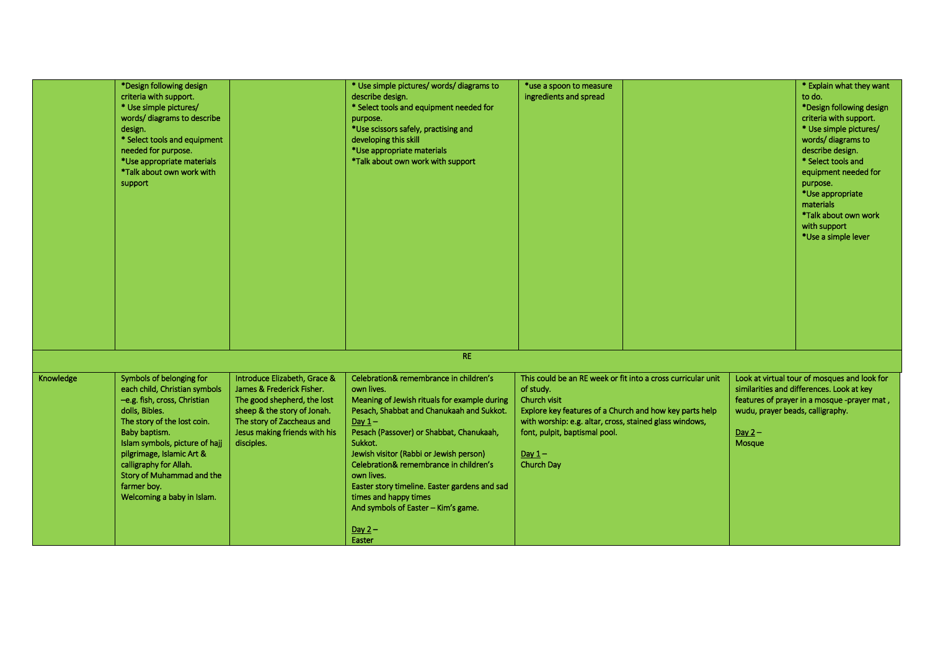|           | *Design following design<br>criteria with support.<br>* Use simple pictures/<br>words/diagrams to describe<br>design.<br>* Select tools and equipment<br>needed for purpose.<br>*Use appropriate materials<br>*Talk about own work with<br>support                                                                             |                                                                                                                                                                                                      | * Use simple pictures/ words/ diagrams to<br>describe design.<br>* Select tools and equipment needed for<br>purpose.<br>*Use scissors safely, practising and<br>developing this skill<br>*Use appropriate materials<br>*Talk about own work with support                                                                                                                                                                                                       | *use a spoon to measure<br>ingredients and spread                                                                                                                                                                 |                                                              |                                                        | * Explain what they want<br>to do.<br>*Design following design<br>criteria with support.<br>* Use simple pictures/<br>words/diagrams to<br>describe design.<br>* Select tools and<br>equipment needed for<br>purpose.<br>*Use appropriate<br>materials<br>*Talk about own work<br>with support<br>*Use a simple lever |
|-----------|--------------------------------------------------------------------------------------------------------------------------------------------------------------------------------------------------------------------------------------------------------------------------------------------------------------------------------|------------------------------------------------------------------------------------------------------------------------------------------------------------------------------------------------------|----------------------------------------------------------------------------------------------------------------------------------------------------------------------------------------------------------------------------------------------------------------------------------------------------------------------------------------------------------------------------------------------------------------------------------------------------------------|-------------------------------------------------------------------------------------------------------------------------------------------------------------------------------------------------------------------|--------------------------------------------------------------|--------------------------------------------------------|-----------------------------------------------------------------------------------------------------------------------------------------------------------------------------------------------------------------------------------------------------------------------------------------------------------------------|
|           |                                                                                                                                                                                                                                                                                                                                |                                                                                                                                                                                                      |                                                                                                                                                                                                                                                                                                                                                                                                                                                                |                                                                                                                                                                                                                   |                                                              |                                                        |                                                                                                                                                                                                                                                                                                                       |
|           |                                                                                                                                                                                                                                                                                                                                |                                                                                                                                                                                                      | <b>RE</b>                                                                                                                                                                                                                                                                                                                                                                                                                                                      |                                                                                                                                                                                                                   |                                                              |                                                        |                                                                                                                                                                                                                                                                                                                       |
| Knowledge | Symbols of belonging for<br>each child, Christian symbols<br>-e.g. fish, cross, Christian<br>dolls, Bibles.<br>The story of the lost coin.<br>Baby baptism.<br>Islam symbols, picture of hajj<br>pilgrimage, Islamic Art &<br>calligraphy for Allah.<br>Story of Muhammad and the<br>farmer boy.<br>Welcoming a baby in Islam. | Introduce Elizabeth, Grace &<br>James & Frederick Fisher.<br>The good shepherd, the lost<br>sheep & the story of Jonah.<br>The story of Zaccheaus and<br>Jesus making friends with his<br>disciples. | Celebration& remembrance in children's<br>own lives.<br>Meaning of Jewish rituals for example during<br>Pesach, Shabbat and Chanukaah and Sukkot.<br>Day $1-$<br>Pesach (Passover) or Shabbat, Chanukaah,<br>Sukkot.<br>Jewish visitor (Rabbi or Jewish person)<br>Celebration& remembrance in children's<br>own lives.<br>Easter story timeline. Easter gardens and sad<br>times and happy times<br>And symbols of Easter - Kim's game.<br>Day $2-$<br>Easter | of study.<br>Church visit<br>Explore key features of a Church and how key parts help<br>with worship: e.g. altar, cross, stained glass windows,<br>font, pulpit, baptismal pool.<br>Day $1-$<br><b>Church Day</b> | This could be an RE week or fit into a cross curricular unit | wudu, prayer beads, calligraphy.<br>Day $2-$<br>Mosque | Look at virtual tour of mosques and look for<br>similarities and differences. Look at key<br>features of prayer in a mosque -prayer mat,                                                                                                                                                                              |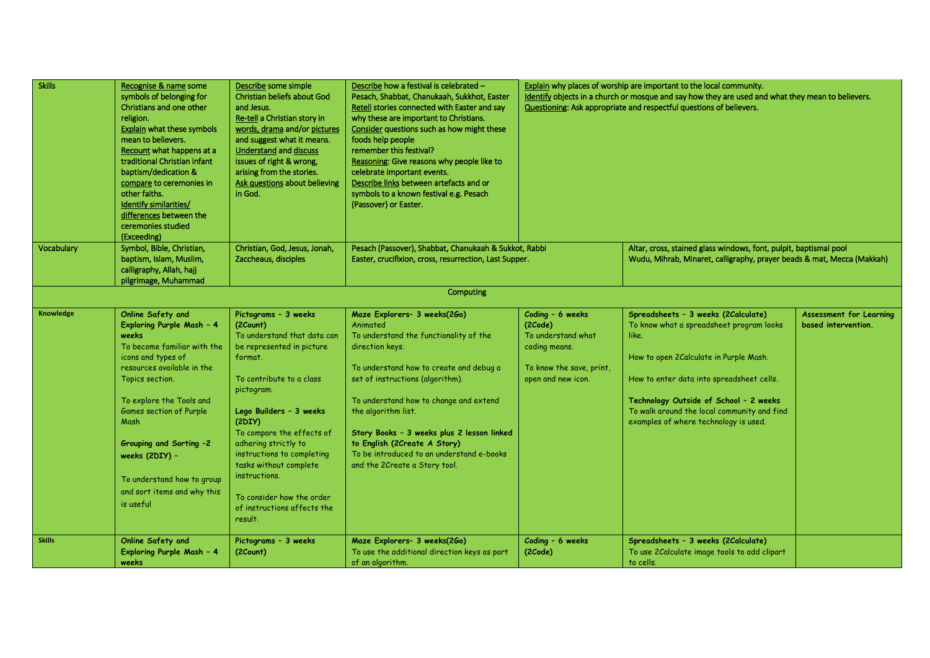| <b>Skills</b> | Recognise & name some<br>symbols of belonging for<br>Christians and one other<br>religion.<br>Explain what these symbols<br>mean to believers.<br>Recount what happens at a<br>traditional Christian infant<br>baptism/dedication &<br>compare to ceremonies in<br>other faiths.<br>Identify similarities/<br>differences between the<br>ceremonies studied<br>(Exceeding) | Describe some simple<br>Christian beliefs about God<br>and Jesus.<br>Re-tell a Christian story in<br>words, drama and/or pictures<br>and suggest what it means.<br><b>Understand and discuss</b><br>issues of right & wrong.<br>arising from the stories.<br>Ask questions about believing<br>in God.                                                                                       | Describe how a festival is celebrated -<br>Pesach, Shabbat, Chanukaah, Sukkhot, Easter<br>Retell stories connected with Easter and say<br>why these are important to Christians.<br>Consider questions such as how might these<br>foods help people<br>remember this festival?<br>Reasoning: Give reasons why people like to<br>celebrate important events.<br>Describe links between artefacts and or<br>symbols to a known festival e.g. Pesach<br>(Passover) or Easter. | Explain why places of worship are important to the local community.<br>Identify objects in a church or mosque and say how they are used and what they mean to believers.<br>Questioning: Ask appropriate and respectful questions of believers. |                                                                                                                                                                                                                                                                                                                   |                                                       |  |  |
|---------------|----------------------------------------------------------------------------------------------------------------------------------------------------------------------------------------------------------------------------------------------------------------------------------------------------------------------------------------------------------------------------|---------------------------------------------------------------------------------------------------------------------------------------------------------------------------------------------------------------------------------------------------------------------------------------------------------------------------------------------------------------------------------------------|----------------------------------------------------------------------------------------------------------------------------------------------------------------------------------------------------------------------------------------------------------------------------------------------------------------------------------------------------------------------------------------------------------------------------------------------------------------------------|-------------------------------------------------------------------------------------------------------------------------------------------------------------------------------------------------------------------------------------------------|-------------------------------------------------------------------------------------------------------------------------------------------------------------------------------------------------------------------------------------------------------------------------------------------------------------------|-------------------------------------------------------|--|--|
| Vocabulary    | Symbol, Bible, Christian,<br>baptism, Islam, Muslim,<br>calligraphy, Allah, hajj<br>pilgrimage, Muhammad                                                                                                                                                                                                                                                                   | Christian, God, Jesus, Jonah,<br>Zaccheaus, disciples                                                                                                                                                                                                                                                                                                                                       | Pesach (Passover), Shabbat, Chanukaah & Sukkot, Rabbi<br>Easter, crucifixion, cross, resurrection, Last Supper.                                                                                                                                                                                                                                                                                                                                                            |                                                                                                                                                                                                                                                 | Altar, cross, stained glass windows, font, pulpit, baptismal pool<br>Wudu, Mihrab, Minaret, calligraphy, prayer beads & mat, Mecca (Makkah)                                                                                                                                                                       |                                                       |  |  |
| Computing     |                                                                                                                                                                                                                                                                                                                                                                            |                                                                                                                                                                                                                                                                                                                                                                                             |                                                                                                                                                                                                                                                                                                                                                                                                                                                                            |                                                                                                                                                                                                                                                 |                                                                                                                                                                                                                                                                                                                   |                                                       |  |  |
| Knowledge     | Online Safety and<br>Exploring Purple Mash - 4<br>weeks<br>To become familiar with the<br>icons and types of<br>resources available in the<br>Topics section.<br>To explore the Tools and<br>Games section of Purple<br>Mash<br>Grouping and Sorting -2<br>weeks (2DIY) -<br>To understand how to group<br>and sort items and why this<br>is useful                        | Pictograms - 3 weeks<br>(2Count)<br>To understand that data can<br>be represented in picture<br>format.<br>To contribute to a class<br>pictogram.<br>Lego Builders - 3 weeks<br>(2DIY)<br>To compare the effects of<br>adhering strictly to<br>instructions to completing<br>tasks without complete<br>instructions.<br>To consider how the order<br>of instructions affects the<br>result. | Maze Explorers- 3 weeks(2Go)<br>Animated<br>To understand the functionality of the<br>direction keys.<br>To understand how to create and debug a<br>set of instructions (algorithm).<br>To understand how to change and extend<br>the algorithm list.<br>Story Books - 3 weeks plus 2 lesson linked<br>to English (2Create A Story)<br>To be introduced to an understand e-books<br>and the 2Create a Story tool.                                                          | Coding - 6 weeks<br>(2Code)<br>To understand what<br>coding means.<br>To know the save, print,<br>open and new icon.                                                                                                                            | Spreadsheets - 3 weeks (2Calculate)<br>To know what a spreadsheet program looks<br>like.<br>How to open 2Calculate in Purple Mash.<br>How to enter data into spreadsheet cells.<br>Technology Outside of School - 2 weeks<br>To walk around the local community and find<br>examples of where technology is used. | <b>Assessment for Learning</b><br>based intervention. |  |  |
| <b>Skills</b> | Online Safety and<br>Exploring Purple Mash - 4<br>weeks                                                                                                                                                                                                                                                                                                                    | Pictograms - 3 weeks<br>(2Count)                                                                                                                                                                                                                                                                                                                                                            | Maze Explorers- 3 weeks(2Go)<br>To use the additional direction keys as part<br>of an algorithm.                                                                                                                                                                                                                                                                                                                                                                           | Coding - 6 weeks<br>(2Code)                                                                                                                                                                                                                     | Spreadsheets - 3 weeks (2Calculate)<br>To use 2Calculate image tools to add clipart<br>to cells.                                                                                                                                                                                                                  |                                                       |  |  |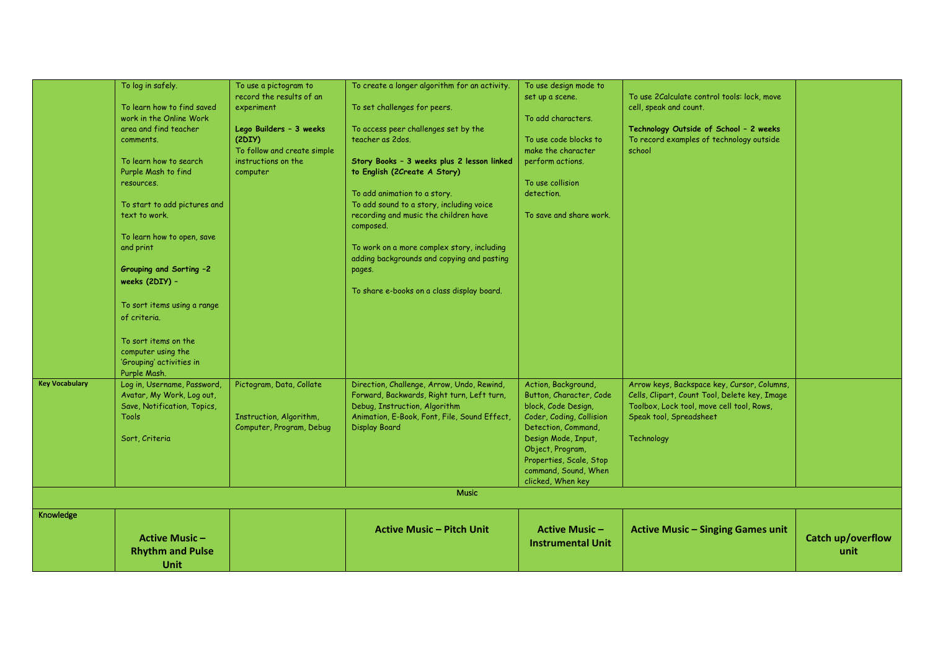|                       | To log in safely.            | To use a pictogram to       | To create a longer algorithm for an activity.                                            | To use design mode to                       |                                               |                   |
|-----------------------|------------------------------|-----------------------------|------------------------------------------------------------------------------------------|---------------------------------------------|-----------------------------------------------|-------------------|
|                       | To learn how to find saved   | record the results of an    |                                                                                          | set up a scene.                             | To use 2Calculate control tools: lock, move   |                   |
|                       | work in the Online Work      | experiment                  | To set challenges for peers.                                                             | To add characters.                          | cell, speak and count.                        |                   |
|                       | area and find teacher        | Lego Builders - 3 weeks     | To access peer challenges set by the                                                     |                                             | Technology Outside of School - 2 weeks        |                   |
|                       | comments.                    | (2DIY)                      | teacher as 2 dos.                                                                        | To use code blocks to                       | To record examples of technology outside      |                   |
|                       |                              | To follow and create simple |                                                                                          | make the character                          | school                                        |                   |
|                       | To learn how to search       | instructions on the         | Story Books - 3 weeks plus 2 lesson linked                                               | perform actions.                            |                                               |                   |
|                       | Purple Mash to find          | computer                    | to English (2Create A Story)                                                             |                                             |                                               |                   |
|                       | resources.                   |                             |                                                                                          | To use collision                            |                                               |                   |
|                       |                              |                             | To add animation to a story.                                                             | detection.                                  |                                               |                   |
|                       | To start to add pictures and |                             | To add sound to a story, including voice                                                 |                                             |                                               |                   |
|                       | text to work.                |                             | recording and music the children have<br>composed.                                       | To save and share work.                     |                                               |                   |
|                       | To learn how to open, save   |                             |                                                                                          |                                             |                                               |                   |
|                       | and print                    |                             | To work on a more complex story, including<br>adding backgrounds and copying and pasting |                                             |                                               |                   |
|                       | Grouping and Sorting -2      |                             | pages.                                                                                   |                                             |                                               |                   |
|                       | weeks (2DIY) -               |                             |                                                                                          |                                             |                                               |                   |
|                       |                              |                             | To share e-books on a class display board.                                               |                                             |                                               |                   |
|                       | To sort items using a range  |                             |                                                                                          |                                             |                                               |                   |
|                       | of criteria.                 |                             |                                                                                          |                                             |                                               |                   |
|                       |                              |                             |                                                                                          |                                             |                                               |                   |
|                       | To sort items on the         |                             |                                                                                          |                                             |                                               |                   |
|                       | computer using the           |                             |                                                                                          |                                             |                                               |                   |
|                       | 'Grouping' activities in     |                             |                                                                                          |                                             |                                               |                   |
|                       | Purple Mash.                 |                             |                                                                                          |                                             |                                               |                   |
| <b>Key Vocabulary</b> | Log in, Username, Password,  | Pictogram, Data, Collate    | Direction, Challenge, Arrow, Undo, Rewind,                                               | Action, Background,                         | Arrow keys, Backspace key, Cursor, Columns,   |                   |
|                       | Avatar, My Work, Log out,    |                             | Forward, Backwards, Right turn, Left turn,                                               | Button, Character, Code                     | Cells, Clipart, Count Tool, Delete key, Image |                   |
|                       | Save, Notification, Topics,  |                             | Debug, Instruction, Algorithm                                                            | block, Code Design,                         | Toolbox, Lock tool, move cell tool, Rows,     |                   |
|                       | <b>Tools</b>                 | Instruction, Algorithm,     | Animation, E-Book, Font, File, Sound Effect,                                             | Coder, Coding, Collision                    | Speak tool, Spreadsheet                       |                   |
|                       |                              | Computer, Program, Debug    | <b>Display Board</b>                                                                     | Detection, Command,                         |                                               |                   |
|                       | Sort, Criteria               |                             |                                                                                          | Design Mode, Input,                         | Technology                                    |                   |
|                       |                              |                             |                                                                                          | Object, Program,<br>Properties, Scale, Stop |                                               |                   |
|                       |                              |                             |                                                                                          | command, Sound, When                        |                                               |                   |
|                       |                              |                             |                                                                                          | clicked, When key                           |                                               |                   |
|                       |                              |                             | <b>Music</b>                                                                             |                                             |                                               |                   |
|                       |                              |                             |                                                                                          |                                             |                                               |                   |
| Knowledge             |                              |                             |                                                                                          |                                             |                                               |                   |
|                       |                              |                             | <b>Active Music - Pitch Unit</b>                                                         | <b>Active Music-</b>                        | <b>Active Music - Singing Games unit</b>      |                   |
|                       | <b>Active Music -</b>        |                             |                                                                                          | <b>Instrumental Unit</b>                    |                                               | Catch up/overflow |
|                       | <b>Rhythm and Pulse</b>      |                             |                                                                                          |                                             |                                               | unit              |
|                       | Unit                         |                             |                                                                                          |                                             |                                               |                   |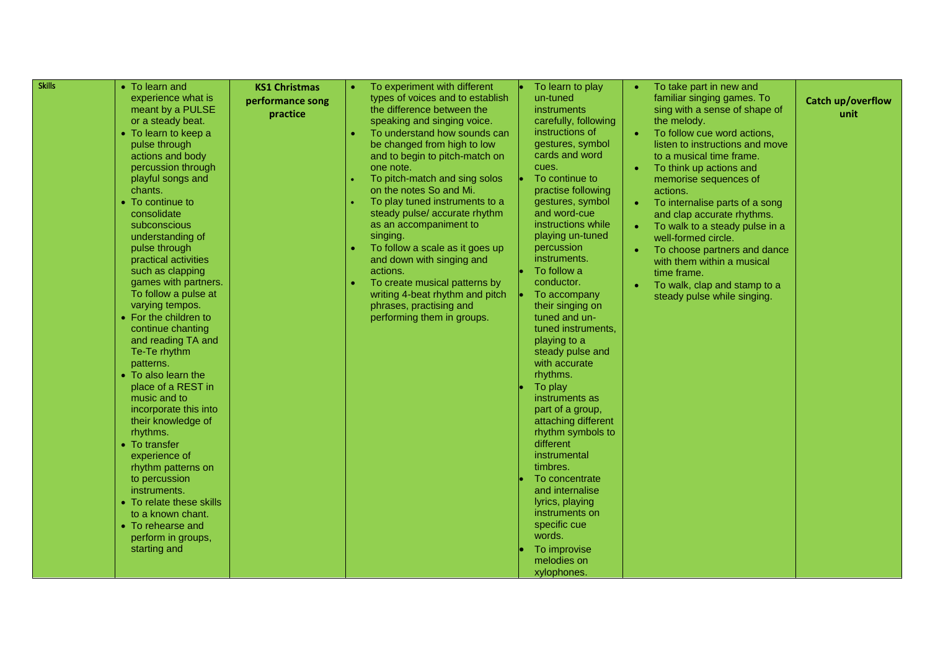| <b>Skills</b> | • To learn and                     | <b>KS1 Christmas</b> | To experiment with different     | To learn to play                  | To take part in new and         |                   |
|---------------|------------------------------------|----------------------|----------------------------------|-----------------------------------|---------------------------------|-------------------|
|               | experience what is                 | performance song     | types of voices and to establish | un-tuned                          | familiar singing games. To      | Catch up/overflow |
|               | meant by a PULSE                   | practice             | the difference between the       | <b>instruments</b>                | sing with a sense of shape of   | unit              |
|               | or a steady beat.                  |                      | speaking and singing voice.      | carefully, following              | the melody.                     |                   |
|               | • To learn to keep a               |                      | To understand how sounds can     | instructions of                   | To follow cue word actions,     |                   |
|               | pulse through                      |                      | be changed from high to low      | gestures, symbol                  | listen to instructions and move |                   |
|               | actions and body                   |                      | and to begin to pitch-match on   | cards and word                    | to a musical time frame.        |                   |
|               | percussion through                 |                      | one note.                        | cues.                             | To think up actions and         |                   |
|               | playful songs and                  |                      | To pitch-match and sing solos    | To continue to                    | memorise sequences of           |                   |
|               | chants.                            |                      | on the notes So and Mi.          | practise following                | actions.                        |                   |
|               | • To continue to                   |                      | To play tuned instruments to a   | gestures, symbol                  | To internalise parts of a song  |                   |
|               | consolidate                        |                      | steady pulse/ accurate rhythm    | and word-cue                      | and clap accurate rhythms.      |                   |
|               | subconscious                       |                      | as an accompaniment to           | instructions while                | To walk to a steady pulse in a  |                   |
|               | understanding of                   |                      | singing.                         | playing un-tuned                  | well-formed circle.             |                   |
|               | pulse through                      |                      | To follow a scale as it goes up  | percussion                        | To choose partners and dance    |                   |
|               | practical activities               |                      | and down with singing and        | instruments.                      | with them within a musical      |                   |
|               | such as clapping                   |                      | actions.                         | To follow a                       | time frame.                     |                   |
|               | games with partners.               |                      | To create musical patterns by    | conductor.                        | To walk, clap and stamp to a    |                   |
|               | To follow a pulse at               |                      | writing 4-beat rhythm and pitch  | To accompany                      | steady pulse while singing.     |                   |
|               | varying tempos.                    |                      | phrases, practising and          | their singing on                  |                                 |                   |
|               | • For the children to              |                      | performing them in groups.       | tuned and un-                     |                                 |                   |
|               | continue chanting                  |                      |                                  | tuned instruments,                |                                 |                   |
|               | and reading TA and<br>Te-Te rhythm |                      |                                  | playing to a                      |                                 |                   |
|               |                                    |                      |                                  | steady pulse and<br>with accurate |                                 |                   |
|               | patterns.<br>• To also learn the   |                      |                                  | rhythms.                          |                                 |                   |
|               | place of a REST in                 |                      |                                  | To play                           |                                 |                   |
|               | music and to                       |                      |                                  | instruments as                    |                                 |                   |
|               | incorporate this into              |                      |                                  | part of a group,                  |                                 |                   |
|               | their knowledge of                 |                      |                                  | attaching different               |                                 |                   |
|               | rhythms.                           |                      |                                  | rhythm symbols to                 |                                 |                   |
|               | • To transfer                      |                      |                                  | different                         |                                 |                   |
|               | experience of                      |                      |                                  | instrumental                      |                                 |                   |
|               | rhythm patterns on                 |                      |                                  | timbres.                          |                                 |                   |
|               | to percussion                      |                      |                                  | To concentrate                    |                                 |                   |
|               | instruments.                       |                      |                                  | and internalise                   |                                 |                   |
|               | • To relate these skills           |                      |                                  | lyrics, playing                   |                                 |                   |
|               | to a known chant.                  |                      |                                  | instruments on                    |                                 |                   |
|               | • To rehearse and                  |                      |                                  | specific cue                      |                                 |                   |
|               | perform in groups,                 |                      |                                  | words.                            |                                 |                   |
|               | starting and                       |                      |                                  | To improvise                      |                                 |                   |
|               |                                    |                      |                                  | melodies on                       |                                 |                   |
|               |                                    |                      |                                  | xylophones.                       |                                 |                   |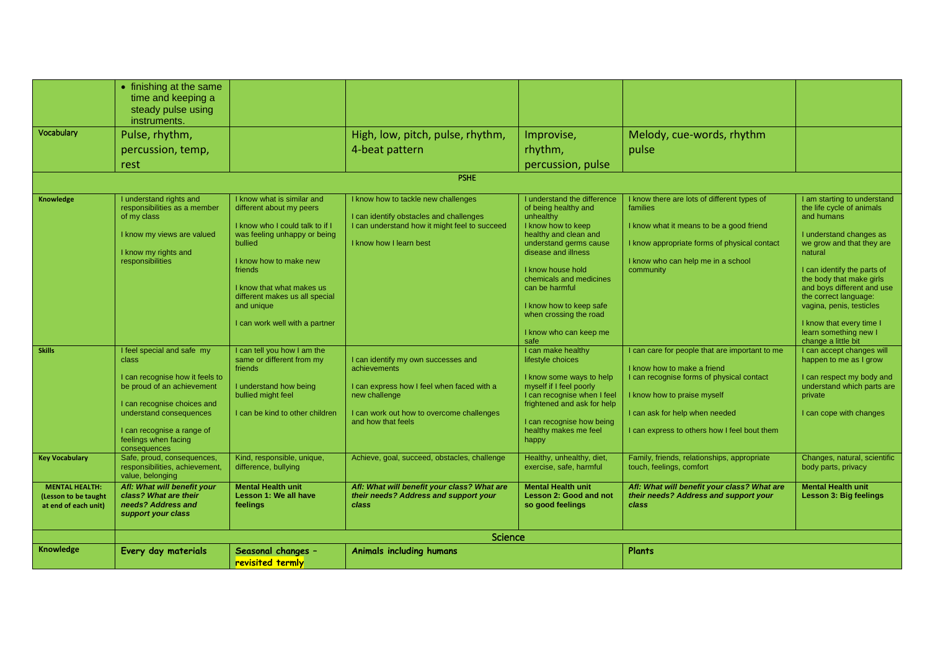|                                                                       | • finishing at the same<br>time and keeping a                                                                                                    |                                                                                                                                                                                                                                                                                          |                                                                                                                                                            |                                                                                                                                                                                                                                                                                                                   |                                                                                                                                                                                                        |                                                                                                                                                                                                                                                                                                                                              |
|-----------------------------------------------------------------------|--------------------------------------------------------------------------------------------------------------------------------------------------|------------------------------------------------------------------------------------------------------------------------------------------------------------------------------------------------------------------------------------------------------------------------------------------|------------------------------------------------------------------------------------------------------------------------------------------------------------|-------------------------------------------------------------------------------------------------------------------------------------------------------------------------------------------------------------------------------------------------------------------------------------------------------------------|--------------------------------------------------------------------------------------------------------------------------------------------------------------------------------------------------------|----------------------------------------------------------------------------------------------------------------------------------------------------------------------------------------------------------------------------------------------------------------------------------------------------------------------------------------------|
|                                                                       | steady pulse using<br>instruments.                                                                                                               |                                                                                                                                                                                                                                                                                          |                                                                                                                                                            |                                                                                                                                                                                                                                                                                                                   |                                                                                                                                                                                                        |                                                                                                                                                                                                                                                                                                                                              |
| Vocabulary                                                            | Pulse, rhythm,                                                                                                                                   |                                                                                                                                                                                                                                                                                          | High, low, pitch, pulse, rhythm,                                                                                                                           | Improvise,                                                                                                                                                                                                                                                                                                        | Melody, cue-words, rhythm                                                                                                                                                                              |                                                                                                                                                                                                                                                                                                                                              |
|                                                                       | percussion, temp,                                                                                                                                |                                                                                                                                                                                                                                                                                          | 4-beat pattern                                                                                                                                             | rhythm,                                                                                                                                                                                                                                                                                                           | pulse                                                                                                                                                                                                  |                                                                                                                                                                                                                                                                                                                                              |
|                                                                       | rest                                                                                                                                             |                                                                                                                                                                                                                                                                                          |                                                                                                                                                            | percussion, pulse                                                                                                                                                                                                                                                                                                 |                                                                                                                                                                                                        |                                                                                                                                                                                                                                                                                                                                              |
|                                                                       |                                                                                                                                                  |                                                                                                                                                                                                                                                                                          | <b>PSHE</b>                                                                                                                                                |                                                                                                                                                                                                                                                                                                                   |                                                                                                                                                                                                        |                                                                                                                                                                                                                                                                                                                                              |
| Knowledge                                                             | I understand rights and<br>responsibilities as a member<br>of my class<br>I know my views are valued<br>I know my rights and<br>responsibilities | I know what is similar and<br>different about my peers<br>I know who I could talk to if I<br>was feeling unhappy or being<br>bullied<br>I know how to make new<br>friends<br>I know that what makes us<br>different makes us all special<br>and unique<br>I can work well with a partner | I know how to tackle new challenges<br>I can identify obstacles and challenges<br>I can understand how it might feel to succeed<br>I know how I learn best | I understand the difference<br>of being healthy and<br>unhealthy<br>I know how to keep<br>healthy and clean and<br>understand germs cause<br>disease and illness<br>I know house hold<br>chemicals and medicines<br>can be harmful<br>I know how to keep safe<br>when crossing the road<br>I know who can keep me | I know there are lots of different types of<br>families<br>I know what it means to be a good friend<br>I know appropriate forms of physical contact<br>I know who can help me in a school<br>community | I am starting to understand<br>the life cycle of animals<br>and humans<br>I understand changes as<br>we grow and that they are<br>natural<br>I can identify the parts of<br>the body that make girls<br>and boys different and use<br>the correct language:<br>vagina, penis, testicles<br>I know that every time I<br>learn something new I |
| <b>Skills</b>                                                         | I feel special and safe my<br>class                                                                                                              | I can tell you how I am the<br>same or different from my<br>friends                                                                                                                                                                                                                      | I can identify my own successes and<br>achievements                                                                                                        | safe<br>I can make healthy<br>lifestyle choices                                                                                                                                                                                                                                                                   | I can care for people that are important to me<br>I know how to make a friend                                                                                                                          | change a little bit<br>I can accept changes will<br>happen to me as I grow                                                                                                                                                                                                                                                                   |
|                                                                       | I can recognise how it feels to<br>be proud of an achievement<br>I can recognise choices and<br>understand consequences                          | I understand how being<br>bullied might feel<br>I can be kind to other children                                                                                                                                                                                                          | I can express how I feel when faced with a<br>new challenge<br>I can work out how to overcome challenges                                                   | I know some ways to help<br>myself if I feel poorly<br>I can recognise when I feel<br>frightened and ask for help                                                                                                                                                                                                 | I can recognise forms of physical contact<br>I know how to praise myself<br>I can ask for help when needed                                                                                             | I can respect my body and<br>understand which parts are<br>private<br>I can cope with changes                                                                                                                                                                                                                                                |
|                                                                       | I can recognise a range of<br>feelings when facing<br>consequences                                                                               |                                                                                                                                                                                                                                                                                          | and how that feels                                                                                                                                         | I can recognise how being<br>healthy makes me feel<br>happy                                                                                                                                                                                                                                                       | I can express to others how I feel bout them                                                                                                                                                           |                                                                                                                                                                                                                                                                                                                                              |
| <b>Key Vocabulary</b>                                                 | Safe, proud, consequences,<br>responsibilities, achievement,<br>value, belonging                                                                 | Kind, responsible, unique,<br>difference, bullying                                                                                                                                                                                                                                       | Achieve, goal, succeed, obstacles, challenge                                                                                                               | Healthy, unhealthy, diet,<br>exercise, safe, harmful                                                                                                                                                                                                                                                              | Family, friends, relationships, appropriate<br>touch, feelings, comfort                                                                                                                                | Changes, natural, scientific<br>body parts, privacy                                                                                                                                                                                                                                                                                          |
| <b>MENTAL HEALTH:</b><br>(Lesson to be taught<br>at end of each unit) | Afl: What will benefit your<br>class? What are their<br>needs? Address and<br>support your class                                                 | <b>Mental Health unit</b><br>Lesson 1: We all have<br>feelings                                                                                                                                                                                                                           | Afl: What will benefit your class? What are<br>their needs? Address and support your<br>class                                                              | <b>Mental Health unit</b><br><b>Lesson 2: Good and not</b><br>so good feelings                                                                                                                                                                                                                                    | Afl: What will benefit your class? What are<br>their needs? Address and support your<br>class                                                                                                          | <b>Mental Health unit</b><br>Lesson 3: Big feelings                                                                                                                                                                                                                                                                                          |
|                                                                       |                                                                                                                                                  |                                                                                                                                                                                                                                                                                          | Science                                                                                                                                                    |                                                                                                                                                                                                                                                                                                                   |                                                                                                                                                                                                        |                                                                                                                                                                                                                                                                                                                                              |
| Knowledge                                                             | Every day materials                                                                                                                              | Seasonal changes -<br>revisited termly                                                                                                                                                                                                                                                   | <b>Animals including humans</b>                                                                                                                            |                                                                                                                                                                                                                                                                                                                   | Plants                                                                                                                                                                                                 |                                                                                                                                                                                                                                                                                                                                              |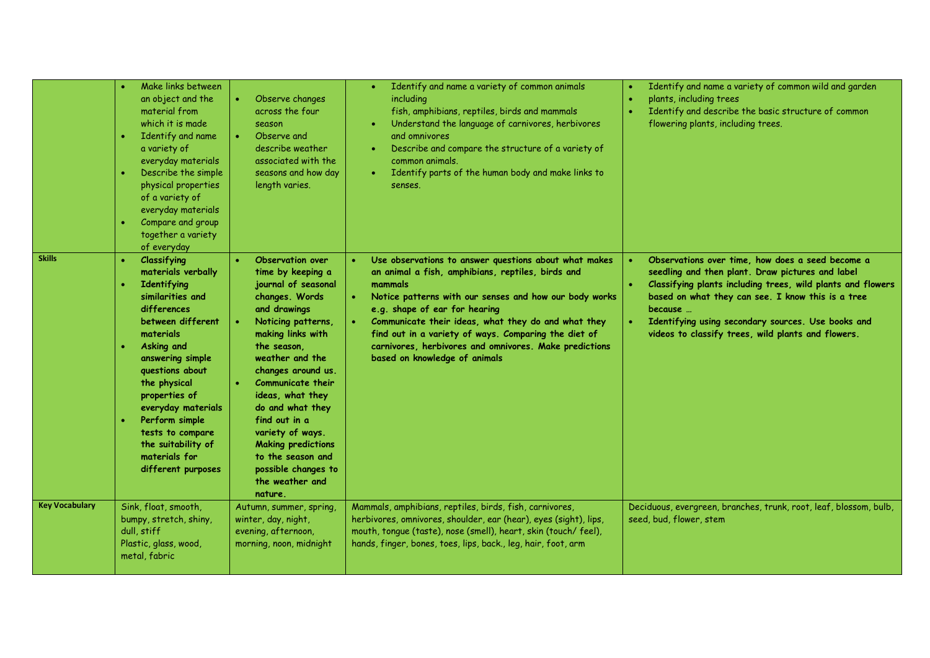|                       | Make links between<br>an object and the<br>material from<br>which it is made<br>Identify and name<br>a variety of<br>everyday materials<br>Describe the simple<br>physical properties<br>of a variety of<br>everyday materials<br>Compare and group<br>together a variety<br>of everyday                                                          | Observe changes<br>across the four<br>season<br>Observe and<br>describe weather<br>associated with the<br>seasons and how day<br>length varies.                                                                                                                                                                                                                                                                   | Identify and name a variety of common animals<br>including<br>fish, amphibians, reptiles, birds and mammals<br>Understand the language of carnivores, herbivores<br>and omnivores<br>Describe and compare the structure of a variety of<br>common animals.<br>Identify parts of the human body and make links to<br>senses.                                                                                                | Identify and name a variety of common wild and garden<br>plants, including trees<br>Identify and describe the basic structure of common<br>flowering plants, including trees.                                                                                                                                                                   |
|-----------------------|---------------------------------------------------------------------------------------------------------------------------------------------------------------------------------------------------------------------------------------------------------------------------------------------------------------------------------------------------|-------------------------------------------------------------------------------------------------------------------------------------------------------------------------------------------------------------------------------------------------------------------------------------------------------------------------------------------------------------------------------------------------------------------|----------------------------------------------------------------------------------------------------------------------------------------------------------------------------------------------------------------------------------------------------------------------------------------------------------------------------------------------------------------------------------------------------------------------------|-------------------------------------------------------------------------------------------------------------------------------------------------------------------------------------------------------------------------------------------------------------------------------------------------------------------------------------------------|
| <b>Skills</b>         | Classifying<br>$\bullet$<br>materials verbally<br>Identifying<br>similarities and<br>differences<br>between different<br>materials<br>Asking and<br>answering simple<br>questions about<br>the physical<br>properties of<br>everyday materials<br>Perform simple<br>tests to compare<br>the suitability of<br>materials for<br>different purposes | Observation over<br>time by keeping a<br>journal of seasonal<br>changes. Words<br>and drawings<br>Noticing patterns,<br>making links with<br>the season.<br>weather and the<br>changes around us.<br><b>Communicate their</b><br>ideas, what they<br>do and what they<br>find out in a<br>variety of ways.<br><b>Making predictions</b><br>to the season and<br>possible changes to<br>the weather and<br>nature. | Use observations to answer questions about what makes<br>an animal a fish, amphibians, reptiles, birds and<br>mammals<br>Notice patterns with our senses and how our body works<br>e.g. shape of ear for hearing<br>Communicate their ideas, what they do and what they<br>find out in a variety of ways. Comparing the diet of<br>carnivores, herbivores and omnivores. Make predictions<br>based on knowledge of animals | Observations over time, how does a seed become a<br>seedling and then plant. Draw pictures and label<br>Classifying plants including trees, wild plants and flowers<br>based on what they can see. I know this is a tree<br>because<br>Identifying using secondary sources. Use books and<br>videos to classify trees, wild plants and flowers. |
| <b>Key Vocabulary</b> | Sink, float, smooth,<br>bumpy, stretch, shiny,<br>dull, stiff<br>Plastic, glass, wood,<br>metal, fabric                                                                                                                                                                                                                                           | Autumn, summer, spring,<br>winter, day, night,<br>evening, afternoon,<br>morning, noon, midnight                                                                                                                                                                                                                                                                                                                  | Mammals, amphibians, reptiles, birds, fish, carnivores,<br>herbivores, omnivores, shoulder, ear (hear), eyes (sight), lips,<br>mouth, tonque (taste), nose (smell), heart, skin (touch/feel),<br>hands, finger, bones, toes, lips, back., leg, hair, foot, arm                                                                                                                                                             | Deciduous, evergreen, branches, trunk, root, leaf, blossom, bulb,<br>seed, bud, flower, stem                                                                                                                                                                                                                                                    |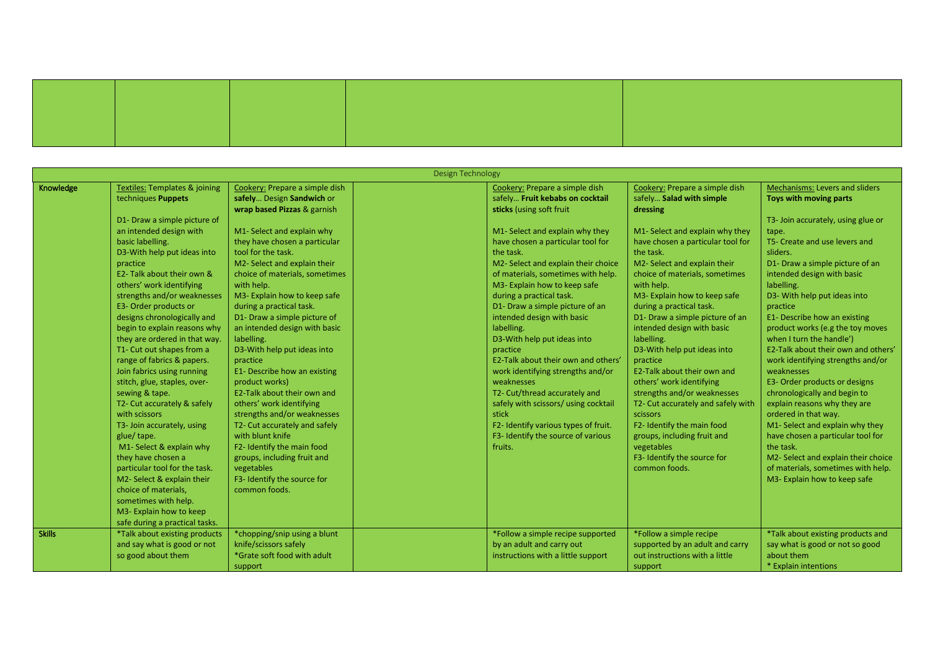| Design Technology |                                          |                                |  |                                      |                                    |                                     |  |  |
|-------------------|------------------------------------------|--------------------------------|--|--------------------------------------|------------------------------------|-------------------------------------|--|--|
| Knowledge         | <b>Textiles: Templates &amp; joining</b> | Cookery: Prepare a simple dish |  | Cookery: Prepare a simple dish       | Cookery: Prepare a simple dish     | Mechanisms: Levers and sliders      |  |  |
|                   | techniques Puppets                       | safely Design Sandwich or      |  | safely Fruit kebabs on cocktail      | safely Salad with simple           | Toys with moving parts              |  |  |
|                   |                                          | wrap based Pizzas & garnish    |  | sticks (using soft fruit             | dressing                           |                                     |  |  |
|                   | D1- Draw a simple picture of             |                                |  |                                      |                                    | T3- Join accurately, using glue or  |  |  |
|                   | an intended design with                  | M1- Select and explain why     |  | M1- Select and explain why they      | M1- Select and explain why they    | tape.                               |  |  |
|                   | basic labelling.                         | they have chosen a particular  |  | have chosen a particular tool for    | have chosen a particular tool for  | T5- Create and use levers and       |  |  |
|                   | D3-With help put ideas into              | tool for the task.             |  | the task.                            | the task.                          | sliders.                            |  |  |
|                   | practice                                 | M2- Select and explain their   |  | M2- Select and explain their choice  | M2- Select and explain their       | D1- Draw a simple picture of an     |  |  |
|                   | E2- Talk about their own &               | choice of materials, sometimes |  | of materials, sometimes with help.   | choice of materials, sometimes     | intended design with basic          |  |  |
|                   | others' work identifying                 | with help.                     |  | M3- Explain how to keep safe         | with help.                         | labelling.                          |  |  |
|                   | strengths and/or weaknesses              | M3- Explain how to keep safe   |  | during a practical task.             | M3- Explain how to keep safe       | D3- With help put ideas into        |  |  |
|                   | E3- Order products or                    | during a practical task.       |  | D1- Draw a simple picture of an      | during a practical task.           | practice                            |  |  |
|                   | designs chronologically and              | D1- Draw a simple picture of   |  | intended design with basic           | D1- Draw a simple picture of an    | E1- Describe how an existing        |  |  |
|                   | begin to explain reasons why             | an intended design with basic  |  | labelling.                           | intended design with basic         | product works (e.g the toy moves    |  |  |
|                   | they are ordered in that way.            | labelling.                     |  | D3-With help put ideas into          | labelling.                         | when I turn the handle')            |  |  |
|                   | T1- Cut out shapes from a                | D3-With help put ideas into    |  | practice                             | D3-With help put ideas into        | E2-Talk about their own and others' |  |  |
|                   | range of fabrics & papers.               | practice                       |  | E2-Talk about their own and others'  | practice                           | work identifying strengths and/or   |  |  |
|                   | Join fabrics using running               | E1- Describe how an existing   |  | work identifying strengths and/or    | E2-Talk about their own and        | weaknesses                          |  |  |
|                   | stitch, glue, staples, over-             | product works)                 |  | weaknesses                           | others' work identifying           | E3- Order products or designs       |  |  |
|                   | sewing & tape.                           | E2-Talk about their own and    |  | T2- Cut/thread accurately and        | strengths and/or weaknesses        | chronologically and begin to        |  |  |
|                   | T2- Cut accurately & safely              | others' work identifying       |  | safely with scissors/ using cocktail | T2- Cut accurately and safely with | explain reasons why they are        |  |  |
|                   | with scissors                            | strengths and/or weaknesses    |  | stick                                | scissors                           | ordered in that way.                |  |  |
|                   | T3- Join accurately, using               | T2- Cut accurately and safely  |  | F2- Identify various types of fruit. | F2- Identify the main food         | M1- Select and explain why they     |  |  |
|                   | glue/tape.                               | with blunt knife               |  | F3- Identify the source of various   | groups, including fruit and        | have chosen a particular tool for   |  |  |
|                   | M1- Select & explain why                 | F2- Identify the main food     |  | fruits.                              | vegetables                         | the task.                           |  |  |
|                   | they have chosen a                       | groups, including fruit and    |  |                                      | F3- Identify the source for        | M2- Select and explain their choice |  |  |
|                   | particular tool for the task.            | vegetables                     |  |                                      | common foods.                      | of materials, sometimes with help.  |  |  |
|                   | M2- Select & explain their               | F3- Identify the source for    |  |                                      |                                    | M3- Explain how to keep safe        |  |  |
|                   | choice of materials,                     | common foods.                  |  |                                      |                                    |                                     |  |  |
|                   | sometimes with help.                     |                                |  |                                      |                                    |                                     |  |  |
|                   | M3- Explain how to keep                  |                                |  |                                      |                                    |                                     |  |  |
|                   | safe during a practical tasks.           |                                |  |                                      |                                    |                                     |  |  |
| <b>Skills</b>     | *Talk about existing products            | *chopping/snip using a blunt   |  | *Follow a simple recipe supported    | *Follow a simple recipe            | *Talk about existing products and   |  |  |
|                   | and say what is good or not              | knife/scissors safely          |  | by an adult and carry out            | supported by an adult and carry    | say what is good or not so good     |  |  |
|                   | so good about them                       | *Grate soft food with adult    |  | instructions with a little support   | out instructions with a little     | about them                          |  |  |
|                   |                                          | support                        |  |                                      | support                            | * Explain intentions                |  |  |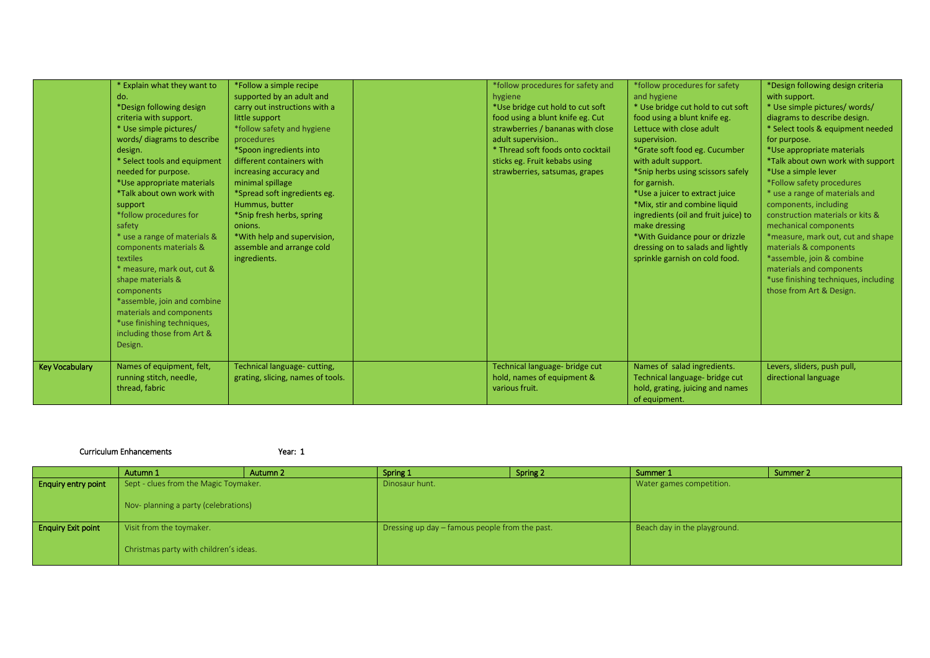|                       | * Explain what they want to<br>do.<br>*Design following design<br>criteria with support.<br>* Use simple pictures/<br>words/ diagrams to describe<br>design.<br>* Select tools and equipment<br>needed for purpose.<br>*Use appropriate materials<br>*Talk about own work with<br>support<br>*follow procedures for<br>safety<br>* use a range of materials &<br>components materials &<br><b>textiles</b><br>* measure, mark out, cut &<br>shape materials &<br>components<br>*assemble, join and combine<br>materials and components<br>*use finishing techniques,<br>including those from Art &<br>Design. | *Follow a simple recipe<br>supported by an adult and<br>carry out instructions with a<br>little support<br>*follow safety and hygiene<br>procedures<br>*Spoon ingredients into<br>different containers with<br>increasing accuracy and<br>minimal spillage<br>*Spread soft ingredients eg.<br>Hummus, butter<br>*Snip fresh herbs, spring<br>onions.<br>*With help and supervision,<br>assemble and arrange cold<br>ingredients. | *follow procedures for safety and<br>hygiene<br>*Use bridge cut hold to cut soft<br>food using a blunt knife eg. Cut<br>strawberries / bananas with close<br>adult supervision<br>* Thread soft foods onto cocktail<br>sticks eg. Fruit kebabs using<br>strawberries, satsumas, grapes | *follow procedures for safety<br>and hygiene<br>* Use bridge cut hold to cut soft<br>food using a blunt knife eg.<br>Lettuce with close adult<br>supervision.<br>*Grate soft food eg. Cucumber<br>with adult support.<br>*Snip herbs using scissors safely<br>for garnish.<br>*Use a juicer to extract juice<br>*Mix, stir and combine liquid<br>ingredients (oil and fruit juice) to<br>make dressing<br>*With Guidance pour or drizzle<br>dressing on to salads and lightly<br>sprinkle garnish on cold food. | *Design following design criteria<br>with support.<br>* Use simple pictures/ words/<br>diagrams to describe design.<br>* Select tools & equipment needed<br>for purpose.<br>*Use appropriate materials<br>*Talk about own work with support<br>*Use a simple lever<br>*Follow safety procedures<br>* use a range of materials and<br>components, including<br>construction materials or kits &<br>mechanical components<br>*measure, mark out, cut and shape<br>materials & components<br>*assemble, join & combine<br>materials and components<br>*use finishing techniques, including<br>those from Art & Design. |
|-----------------------|---------------------------------------------------------------------------------------------------------------------------------------------------------------------------------------------------------------------------------------------------------------------------------------------------------------------------------------------------------------------------------------------------------------------------------------------------------------------------------------------------------------------------------------------------------------------------------------------------------------|----------------------------------------------------------------------------------------------------------------------------------------------------------------------------------------------------------------------------------------------------------------------------------------------------------------------------------------------------------------------------------------------------------------------------------|----------------------------------------------------------------------------------------------------------------------------------------------------------------------------------------------------------------------------------------------------------------------------------------|-----------------------------------------------------------------------------------------------------------------------------------------------------------------------------------------------------------------------------------------------------------------------------------------------------------------------------------------------------------------------------------------------------------------------------------------------------------------------------------------------------------------|---------------------------------------------------------------------------------------------------------------------------------------------------------------------------------------------------------------------------------------------------------------------------------------------------------------------------------------------------------------------------------------------------------------------------------------------------------------------------------------------------------------------------------------------------------------------------------------------------------------------|
| <b>Key Vocabulary</b> | Names of equipment, felt,<br>running stitch, needle,<br>thread, fabric                                                                                                                                                                                                                                                                                                                                                                                                                                                                                                                                        | Technical language-cutting,<br>grating, slicing, names of tools.                                                                                                                                                                                                                                                                                                                                                                 | Technical language- bridge cut<br>hold, names of equipment &<br>various fruit.                                                                                                                                                                                                         | Names of salad ingredients.<br>Technical language- bridge cut<br>hold, grating, juicing and names<br>of equipment.                                                                                                                                                                                                                                                                                                                                                                                              | Levers, sliders, push pull,<br>directional language                                                                                                                                                                                                                                                                                                                                                                                                                                                                                                                                                                 |

## Curriculum Enhancements Year: 1

|                            | Autumn 1                               | Autumn 2 | Spring 1                                       | Spring 2 | Summer 1                     | Summer 2 |
|----------------------------|----------------------------------------|----------|------------------------------------------------|----------|------------------------------|----------|
| <b>Enquiry entry point</b> | Sept - clues from the Magic Toymaker.  |          | Dinosaur hunt.                                 |          | Water games competition.     |          |
|                            |                                        |          |                                                |          |                              |          |
|                            | Nov-planning a party (celebrations)    |          |                                                |          |                              |          |
|                            |                                        |          |                                                |          |                              |          |
| <b>Enquiry Exit point</b>  | Visit from the toymaker.               |          | Dressing up day – famous people from the past. |          | Beach day in the playground. |          |
|                            |                                        |          |                                                |          |                              |          |
|                            | Christmas party with children's ideas. |          |                                                |          |                              |          |
|                            |                                        |          |                                                |          |                              |          |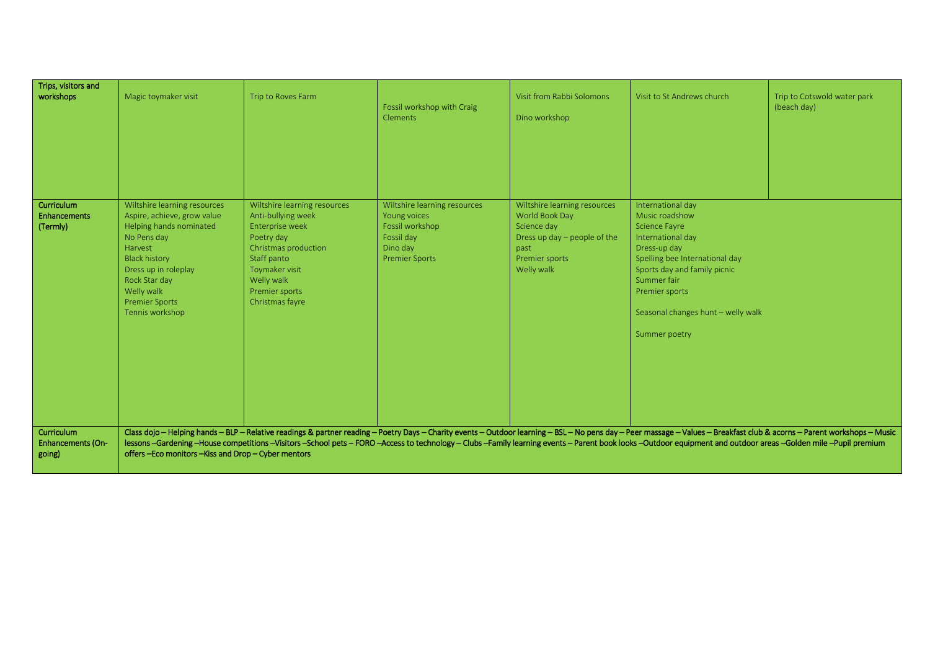| Trips, visitors and<br>workshops                 | Magic toymaker visit                                                                                                                                                                                                                        | Trip to Roves Farm                                                                                                                                                                              | Fossil workshop with Craig<br><b>Clements</b>                                                                      | Visit from Rabbi Solomons<br>Dino workshop                                                                                              | Visit to St Andrews church                                                                                                                                                                                                                                                                                                                                                                                                    | Trip to Cotswold water park<br>(beach day) |
|--------------------------------------------------|---------------------------------------------------------------------------------------------------------------------------------------------------------------------------------------------------------------------------------------------|-------------------------------------------------------------------------------------------------------------------------------------------------------------------------------------------------|--------------------------------------------------------------------------------------------------------------------|-----------------------------------------------------------------------------------------------------------------------------------------|-------------------------------------------------------------------------------------------------------------------------------------------------------------------------------------------------------------------------------------------------------------------------------------------------------------------------------------------------------------------------------------------------------------------------------|--------------------------------------------|
| Curriculum<br><b>Enhancements</b><br>(Termly)    | Wiltshire learning resources<br>Aspire, achieve, grow value<br>Helping hands nominated<br>No Pens day<br>Harvest<br><b>Black history</b><br>Dress up in roleplay<br>Rock Star day<br>Welly walk<br><b>Premier Sports</b><br>Tennis workshop | Wiltshire learning resources<br>Anti-bullying week<br>Enterprise week<br>Poetry day<br>Christmas production<br>Staff panto<br>Toymaker visit<br>Welly walk<br>Premier sports<br>Christmas fayre | Wiltshire learning resources<br>Young voices<br>Fossil workshop<br>Fossil day<br>Dino day<br><b>Premier Sports</b> | Wiltshire learning resources<br>World Book Day<br>Science day<br>Dress up day $-$ people of the<br>past<br>Premier sports<br>Welly walk | International day<br>Music roadshow<br><b>Science Fayre</b><br>International day<br>Dress-up day<br>Spelling bee International day<br>Sports day and family picnic<br>Summer fair<br>Premier sports<br>Seasonal changes hunt - welly walk<br>Summer poetry                                                                                                                                                                    |                                            |
| Curriculum<br><b>Enhancements (On-</b><br>going) | offers-Eco monitors-Kiss and Drop-Cyber mentors                                                                                                                                                                                             |                                                                                                                                                                                                 |                                                                                                                    |                                                                                                                                         | Class dojo - Helping hands - BLP - Relative readings & partner reading - Poetry Days - Charity events - Outdoor learning - BSL - No pens day - Peer massage - Values - Breakfast club & acorns - Parent workshops - Music<br>lessons-Gardening-House competitions-Visitors-School pets-FORO-Access to technology-Clubs-Family learning events-Parent book looks-Outdoor equipment and outdoor areas-Golden mile-Pupil premium |                                            |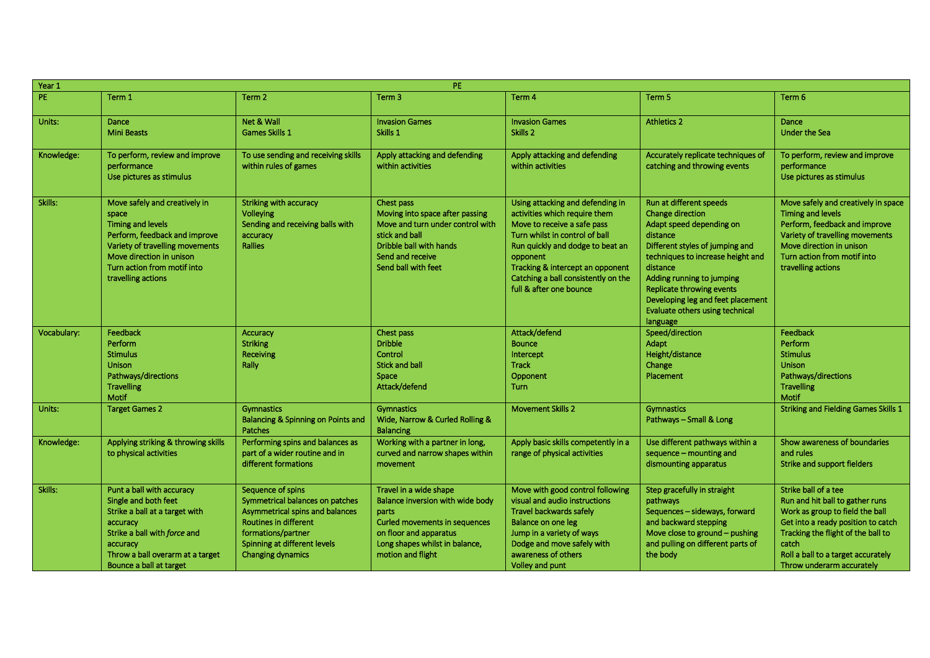| PE<br>Year 1 |                                                                                                                                                                                                                         |                                                                                                                                                                                                           |                                                                                                                                                                                              |                                                                                                                                                                                                                                                                                          |                                                                                                                                                                                                                                                                                                                       |                                                                                                                                                                                                                                                    |
|--------------|-------------------------------------------------------------------------------------------------------------------------------------------------------------------------------------------------------------------------|-----------------------------------------------------------------------------------------------------------------------------------------------------------------------------------------------------------|----------------------------------------------------------------------------------------------------------------------------------------------------------------------------------------------|------------------------------------------------------------------------------------------------------------------------------------------------------------------------------------------------------------------------------------------------------------------------------------------|-----------------------------------------------------------------------------------------------------------------------------------------------------------------------------------------------------------------------------------------------------------------------------------------------------------------------|----------------------------------------------------------------------------------------------------------------------------------------------------------------------------------------------------------------------------------------------------|
| PE.          | Term 1                                                                                                                                                                                                                  | Term <sub>2</sub>                                                                                                                                                                                         | Term <sub>3</sub>                                                                                                                                                                            | Term 4                                                                                                                                                                                                                                                                                   | Term <sub>5</sub>                                                                                                                                                                                                                                                                                                     | Term <sub>6</sub>                                                                                                                                                                                                                                  |
| Units:       | Dance<br><b>Mini Beasts</b>                                                                                                                                                                                             | Net & Wall<br>Games Skills 1                                                                                                                                                                              | <b>Invasion Games</b><br>Skills 1                                                                                                                                                            | <b>Invasion Games</b><br>Skills <sub>2</sub>                                                                                                                                                                                                                                             | <b>Athletics 2</b>                                                                                                                                                                                                                                                                                                    | <b>Dance</b><br><b>Under the Sea</b>                                                                                                                                                                                                               |
| Knowledge:   | To perform, review and improve<br>performance<br>Use pictures as stimulus                                                                                                                                               | To use sending and receiving skills<br>within rules of games                                                                                                                                              | Apply attacking and defending<br>within activities                                                                                                                                           | Apply attacking and defending<br>within activities                                                                                                                                                                                                                                       | Accurately replicate techniques of<br>catching and throwing events                                                                                                                                                                                                                                                    | To perform, review and improve<br>performance<br>Use pictures as stimulus                                                                                                                                                                          |
| Skills:      | Move safely and creatively in<br>space<br><b>Timing and levels</b><br>Perform, feedback and improve<br>Variety of travelling movements<br>Move direction in unison<br>Turn action from motif into<br>travelling actions | Striking with accuracy<br>Volleying<br>Sending and receiving balls with<br>accuracy<br><b>Rallies</b>                                                                                                     | Chest pass<br>Moving into space after passing<br>Move and turn under control with<br>stick and ball<br>Dribble ball with hands<br>Send and receive<br>Send ball with feet                    | Using attacking and defending in<br>activities which require them<br>Move to receive a safe pass<br>Turn whilst in control of ball<br>Run quickly and dodge to beat an<br>opponent<br>Tracking & intercept an opponent<br>Catching a ball consistently on the<br>full & after one bounce | Run at different speeds<br>Change direction<br>Adapt speed depending on<br>distance<br>Different styles of jumping and<br>techniques to increase height and<br>distance<br>Adding running to jumping<br>Replicate throwing events<br>Developing leg and feet placement<br>Evaluate others using technical<br>language | Move safely and creatively in space<br><b>Timing and levels</b><br>Perform, feedback and improve<br>Variety of travelling movements<br>Move direction in unison<br>Turn action from motif into<br>travelling actions                               |
| Vocabulary:  | Feedback<br><b>Perform</b><br><b>Stimulus</b><br><b>Unison</b><br>Pathways/directions<br><b>Travelling</b><br><b>Motif</b>                                                                                              | <b>Accuracy</b><br><b>Striking</b><br>Receiving<br>Rally                                                                                                                                                  | Chest pass<br><b>Dribble</b><br>Control<br><b>Stick and ball</b><br>Space<br>Attack/defend                                                                                                   | Attack/defend<br><b>Bounce</b><br>Intercept<br><b>Track</b><br>Opponent<br><b>Turn</b>                                                                                                                                                                                                   | Speed/direction<br><b>Adapt</b><br>Height/distance<br>Change<br>Placement                                                                                                                                                                                                                                             | Feedback<br><b>Perform</b><br><b>Stimulus</b><br><b>Unison</b><br>Pathways/directions<br><b>Travelling</b><br>Motif                                                                                                                                |
| Units:       | <b>Target Games 2</b>                                                                                                                                                                                                   | <b>Gymnastics</b><br>Balancing & Spinning on Points and<br>Patches                                                                                                                                        | <b>Gymnastics</b><br>Wide, Narrow & Curled Rolling &<br><b>Balancing</b>                                                                                                                     | <b>Movement Skills 2</b>                                                                                                                                                                                                                                                                 | <b>Gymnastics</b><br>Pathways - Small & Long                                                                                                                                                                                                                                                                          | <b>Striking and Fielding Games Skills 1</b>                                                                                                                                                                                                        |
| Knowledge:   | Applying striking & throwing skills<br>to physical activities                                                                                                                                                           | Performing spins and balances as<br>part of a wider routine and in<br>different formations                                                                                                                | Working with a partner in long,<br>curved and narrow shapes within<br>movement                                                                                                               | Apply basic skills competently in a<br>range of physical activities                                                                                                                                                                                                                      | Use different pathways within a<br>sequence - mounting and<br>dismounting apparatus                                                                                                                                                                                                                                   | Show awareness of boundaries<br>and rules<br>Strike and support fielders                                                                                                                                                                           |
| Skills:      | Punt a ball with accuracy<br>Single and both feet<br>Strike a ball at a target with<br>accuracy<br>Strike a ball with force and<br>accuracy<br>Throw a ball overarm at a target<br>Bounce a ball at target              | Sequence of spins<br>Symmetrical balances on patches<br>Asymmetrical spins and balances<br><b>Routines in different</b><br>formations/partner<br>Spinning at different levels<br><b>Changing dynamics</b> | Travel in a wide shape<br>Balance inversion with wide body<br>parts<br><b>Curled movements in sequences</b><br>on floor and apparatus<br>Long shapes whilst in balance,<br>motion and flight | Move with good control following<br>visual and audio instructions<br>Travel backwards safely<br>Balance on one leg<br>Jump in a variety of ways<br>Dodge and move safely with<br>awareness of others<br>Volley and punt                                                                  | Step gracefully in straight<br>pathways<br>Sequences - sideways, forward<br>and backward stepping<br>Move close to ground - pushing<br>and pulling on different parts of<br>the body                                                                                                                                  | Strike ball of a tee<br>Run and hit ball to gather runs<br>Work as group to field the ball<br>Get into a ready position to catch<br>Tracking the flight of the ball to<br>catch<br>Roll a ball to a target accurately<br>Throw underarm accurately |